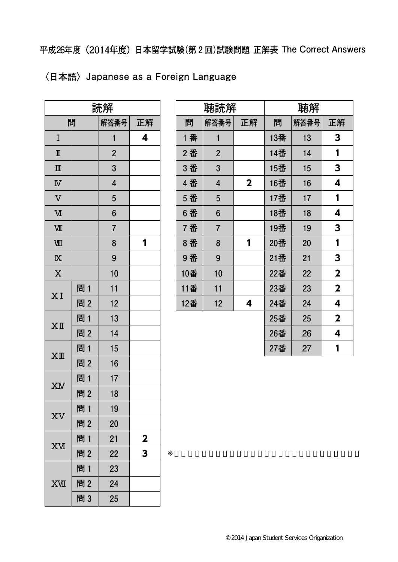**平成26年度**(2014年度)**日本留学試験(第2回)試験問題 正解表 The Correct Answers** 

|  | 〈日本語〉Japanese as a Foreign Language |  |  |  |
|--|-------------------------------------|--|--|--|
|--|-------------------------------------|--|--|--|

| 読解                      |     |                |             |  |
|-------------------------|-----|----------------|-------------|--|
| 問                       |     | 解答番号           | 正解          |  |
| I                       |     | 1              | 4           |  |
| $\rm I\hspace{-0.3mm}I$ |     | $\overline{2}$ |             |  |
| $\mathbb{I}$            |     | 3              |             |  |
| $\overline{\mathbf{W}}$ |     | $\overline{4}$ |             |  |
| $\overline{\text{V}}$   |     | 5              |             |  |
| $\overline{\text{M}}$   |     | 6              |             |  |
| VШ                      |     | $\overline{7}$ |             |  |
| VШ                      |     | 8              | 1           |  |
| $\overline{\mathbb{X}}$ |     | 9              |             |  |
| $\overline{\text{X}}$   |     | 10             |             |  |
| XI                      | 問 1 | 11             |             |  |
|                         | 問2  | 12             |             |  |
|                         | 問 1 | 13             |             |  |
| $X$ II                  | 問2  | 14             |             |  |
|                         | 問1  | 15             |             |  |
| $XI\!\!I\!\!I$          | 問2  | 16             |             |  |
| XM                      | 問 1 | 17             |             |  |
|                         | 問2  | 18             |             |  |
|                         | 問 1 | 19             |             |  |
| XV                      | 問2  | 20             |             |  |
|                         | 問1  | 21             | $\mathbf 2$ |  |
| XИ                      | 問2  | 22             | 3           |  |
|                         | 問 1 | 23             |             |  |
| <b>XVII</b>             | 問2  | 24             |             |  |
|                         | 問3  | 25             |             |  |

| 聴読解 |                |              | 聴解  |      |                         |
|-----|----------------|--------------|-----|------|-------------------------|
| 問   | 解答番号           | 正解           | 問   | 解答番号 | 正解                      |
| 1 番 | $\mathbf{1}$   |              | 13番 | 13   | 3                       |
| 2番  | $\overline{2}$ |              | 14番 | 14   | 1                       |
| 3 番 | 3              |              | 15番 | 15   | 3                       |
| 4番  | 4              | $\mathbf{2}$ | 16番 | 16   | 4                       |
| 5 番 | 5              |              | 17番 | 17   | 1                       |
| 6番  | 6              |              | 18番 | 18   | 4                       |
| 7番  | $\overline{7}$ |              | 19番 | 19   | 3                       |
| 8番  | 8              | 1            | 20番 | 20   | 1                       |
| 9番  | 9              |              | 21番 | 21   | 3                       |
| 10番 | 10             |              | 22番 | 22   | $\overline{\mathbf{2}}$ |
| 11番 | 11             |              | 23番 | 23   | $\overline{\mathbf{2}}$ |
| 12番 | 12             | 4            | 24番 | 24   | 4                       |
|     |                |              | 25番 | 25   | $\mathbf{2}$            |
|     |                |              | 26番 | 26   | 4                       |
|     |                |              | 27番 | 27   | 1                       |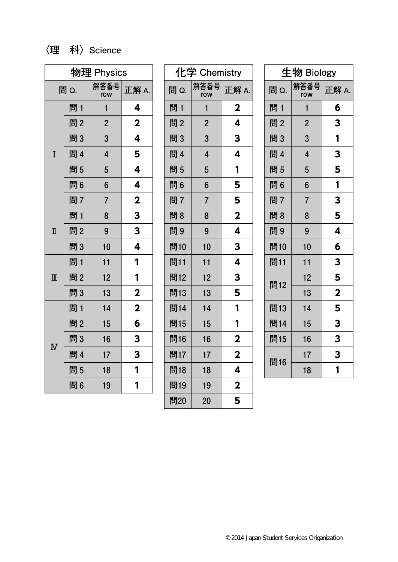## **〈理 科〉Science**

| 物理 Physics            |      |                |                         |
|-----------------------|------|----------------|-------------------------|
|                       | 問 Q. | 解答番号<br>row    | 正解 A.                   |
|                       | 問 1  | 1              | 4                       |
|                       | 問2   | $\overline{2}$ | $\mathbf 2$             |
|                       | 問3   | 3              | 4                       |
| I                     | 問 4  | $\overline{4}$ | 5                       |
|                       | 問5   | 5              | 4                       |
|                       | 問6   | 6              | 4                       |
|                       | 問7   | $\overline{7}$ | $\overline{\mathbf{2}}$ |
| $\mathbb I$           | 問1   | 8              | 3                       |
|                       | 問2   | 9              | 3                       |
|                       | 問3   | 10             | 4                       |
| $\mathbb{I}$          | 問1   | 11             | 1                       |
|                       | 問2   | 12             | 1                       |
|                       | 問3   | 13             | $\overline{\mathbf{2}}$ |
| $\overline{\text{N}}$ | 問1   | 14             | $\mathbf{2}$            |
|                       | 問2   | 15             | 6                       |
|                       | 問3   | 16             | 3                       |
|                       | 問 4  | 17             | 3                       |
|                       | 問5   | 18             | 1                       |
|                       | 問6   | 19             | 1                       |

| 化学 Chemistry |                |                         |  |
|--------------|----------------|-------------------------|--|
| 問 Q.         | 解答番号<br>row    | 正解 A.                   |  |
| 問 1          | 1              | $\mathbf 2$             |  |
| 問2           | $\overline{2}$ | 4                       |  |
| 問3           | 3              | 3                       |  |
| 問 4          | $\overline{4}$ | 4                       |  |
| 問5           | 5              | 1                       |  |
| 問6           | 6              | 5                       |  |
| 問7           | 7              | 5                       |  |
| 問8           | 8              | $\overline{\mathbf{2}}$ |  |
| 問9           | 9              | 4                       |  |
| 問10          | 10             | 3                       |  |
| 問11          | 11             | 4                       |  |
| 問12          | 12             | 3                       |  |
| 問13          | 13             | 5                       |  |
| 問14          | 14             | 1                       |  |
| 問15          | 15             | 1                       |  |
| 問16          | 16             | $\overline{\mathbf{2}}$ |  |
| 問17          | 17             | $\overline{\mathbf{2}}$ |  |
| 問18          | 18             | 4                       |  |
| 問19          | 19             | $\overline{\mathbf{2}}$ |  |
| 問20          | 20             | 5                       |  |

| 生物 Biology |                         |                         |  |
|------------|-------------------------|-------------------------|--|
| 問 Q.       | 解答番号<br>row             | 正解 A.                   |  |
| 問 1        | 1                       | 6                       |  |
| 問2         | $\overline{2}$          | 3                       |  |
| 問3         | 3                       | 1                       |  |
| 問 4        | $\overline{\mathbf{4}}$ | 3                       |  |
| 問 5        | 5                       | 5                       |  |
| 問6         | 6                       | 1                       |  |
| 問7         | $\overline{7}$          | 3                       |  |
| 問8         | 8                       | 5                       |  |
| 問9         | 9                       | 4                       |  |
| 問10        | 10                      | 6                       |  |
| 問11        | 11                      | 3                       |  |
|            | 12                      | 5                       |  |
| 問12        | 13                      | $\overline{\mathbf{2}}$ |  |
| 問13        | 14                      | 5                       |  |
| 問14        | 15                      | 3                       |  |
| 問15        | 16                      | 3                       |  |
|            | 17                      | 3                       |  |
| 問16        | 18                      | 1                       |  |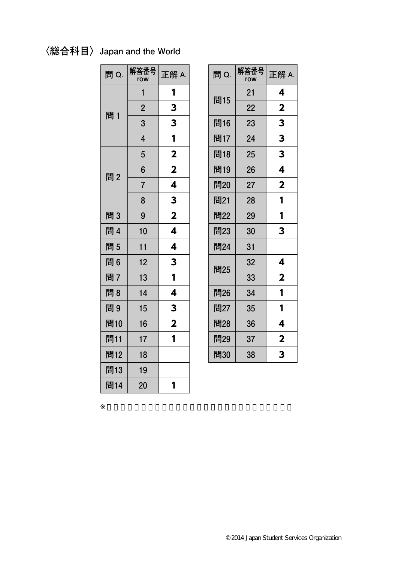## **〈総合科目〉Japan and the World**

| 問 Q. | 解答番号<br>row    | 正解 A.                   |
|------|----------------|-------------------------|
|      | 1              | 1                       |
| 問 1  | $\overline{2}$ | 3                       |
|      | 3              | 3                       |
|      | $\overline{4}$ | 1                       |
|      | 5              | $\mathbf{2}$            |
| 問2   | 6              | $\overline{\mathbf{2}}$ |
|      | $\overline{7}$ | 4                       |
|      | 8              | 3                       |
| 問3   | 9              | $\overline{\mathbf{2}}$ |
| 問 4  | 10             | 4                       |
| 問5   | 11             | 4                       |
| 問6   | 12             | 3                       |
| 問7   | 13             | 1                       |
| 問8   | 14             | 4                       |
| 問9   | 15             | 3                       |
| 問10  | 16             | $\overline{\mathbf{2}}$ |
| 問11  | 17             | 1                       |
| 問12  | 18             |                         |
| 問13  | 19             |                         |
| 問14  | 20             | 1                       |

| 問 Q. | 解答番号<br>row | 正解 A.       |
|------|-------------|-------------|
|      | 21          | 4           |
| 問15  | 22          | $\mathbf 2$ |
| 問16  | 23          | 3           |
| 問17  | 24          | 3           |
| 問18  | 25          | 3           |
| 問19  | 26          | 4           |
| 問20  | 27          | $\mathbf 2$ |
| 問21  | 28          | 1           |
| 問22  | 29          | 1           |
| 問23  | 30          | 3           |
| 問24  | 31          |             |
|      | 32          | 4           |
| 問25  | 33          | $\mathbf 2$ |
| 問26  | 34          | 1           |
| 問27  | 35          | 1           |
| 問28  | 36          | 4           |
| 問29  | 37          | $\mathbf 2$ |
| 問30  | 38          | 3           |